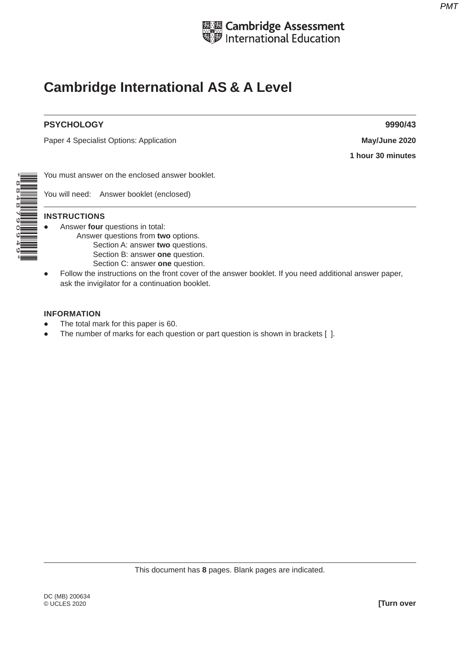

# **Cambridge International AS & A Level**

#### **PSYCHOLOGY 9990/43**

Paper 4 Specialist Options: Application **May/June 2020**

**1 hour 30 minutes**



You must answer on the enclosed answer booklet.

You will need: Answer booklet (enclosed)

#### **INSTRUCTIONS**

- Answer **four** questions in total:
	- Answer questions from **two** options. Section A: answer **two** questions. Section B: answer **one** question. Section C: answer **one** question.
- Follow the instructions on the front cover of the answer booklet. If you need additional answer paper, ask the invigilator for a continuation booklet.

#### **INFORMATION**

- The total mark for this paper is 60.
- The number of marks for each question or part question is shown in brackets [].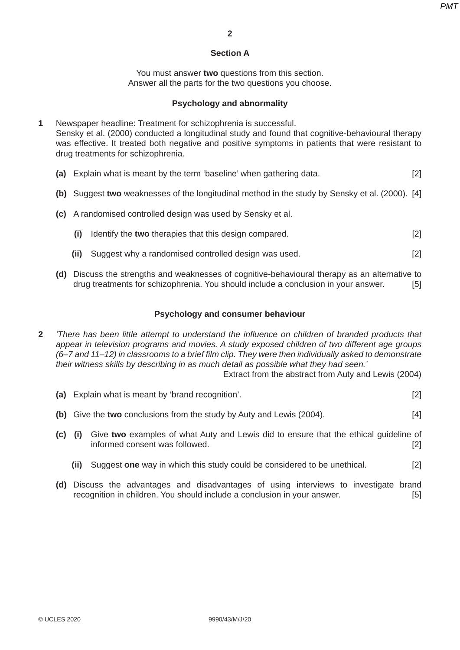#### **Section A**

You must answer **two** questions from this section. Answer all the parts for the two questions you choose.

#### **Psychology and abnormality**

**1** Newspaper headline: Treatment for schizophrenia is successful. Sensky et al. (2000) conducted a longitudinal study and found that cognitive-behavioural therapy was effective. It treated both negative and positive symptoms in patients that were resistant to drug treatments for schizophrenia.

- **(a)** Explain what is meant by the term 'baseline' when gathering data. [2]
- **(b)** Suggest **two** weaknesses of the longitudinal method in the study by Sensky et al. (2000). [4]
- **(c)** A randomised controlled design was used by Sensky et al.
	- **(i)** Identify the **two** therapies that this design compared. [2]
	- **(ii)** Suggest why a randomised controlled design was used. [2]
- **(d)** Discuss the strengths and weaknesses of cognitive-behavioural therapy as an alternative to drug treatments for schizophrenia. You should include a conclusion in your answer. [5]

#### **Psychology and consumer behaviour**

**2** *'There has been little attempt to understand the influence on children of branded products that appear in television programs and movies. A study exposed children of two different age groups (6–7 and 11–12) in classrooms to a brief film clip. They were then individually asked to demonstrate their witness skills by describing in as much detail as possible what they had seen.'*

Extract from the abstract from Auty and Lewis (2004)

- **(a)** Explain what is meant by 'brand recognition'. [2]
- **(b)** Give the **two** conclusions from the study by Auty and Lewis (2004). [4]
- **(c) (i)** Give **two** examples of what Auty and Lewis did to ensure that the ethical guideline of informed consent was followed. [2]
	- **(ii)** Suggest **one** way in which this study could be considered to be unethical. [2]
- **(d)** Discuss the advantages and disadvantages of using interviews to investigate brand recognition in children. You should include a conclusion in your answer. [5]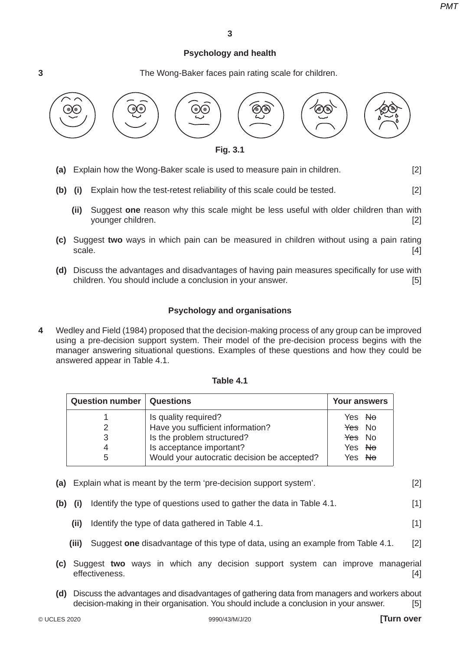### **Psychology and health**

**3 The Wong-Baker faces pain rating scale for children.** 



**Fig. 3.1**

- **(a)** Explain how the Wong-Baker scale is used to measure pain in children. [2]
- **(b) (i)** Explain how the test-retest reliability of this scale could be tested. [2]
	- **(ii)** Suggest **one** reason why this scale might be less useful with older children than with younger children. [2]
- **(c)** Suggest **two** ways in which pain can be measured in children without using a pain rating scale. [4]
- **(d)** Discuss the advantages and disadvantages of having pain measures specifically for use with children. You should include a conclusion in your answer. [5]

#### **Psychology and organisations**

**4** Wedley and Field (1984) proposed that the decision-making process of any group can be improved using a pre-decision support system. Their model of the pre-decision process begins with the manager answering situational questions. Examples of these questions and how they could be answered appear in Table 4.1.

| Question number   Questions |                                             | Your answers      |
|-----------------------------|---------------------------------------------|-------------------|
|                             | Is quality required?                        | Yes <del>No</del> |
|                             | Have you sufficient information?            | Yes No            |
| 3                           | Is the problem structured?                  | Yes No            |
| 4                           | Is acceptance important?                    | Yes No            |
| 5                           | Would your autocratic decision be accepted? | Yes No            |

| <b>Table</b> |  |  |
|--------------|--|--|
|--------------|--|--|

- **(a)** Explain what is meant by the term 'pre-decision support system'. [2]
- **(b) (i)** Identify the type of questions used to gather the data in Table 4.1. [1]
	- **(ii)** Identify the type of data gathered in Table 4.1. *II*  $\begin{bmatrix} 1 \end{bmatrix}$
	- **(iii)** Suggest **one** disadvantage of this type of data, using an example from Table 4.1. [2]
- **(c)** Suggest **two** ways in which any decision support system can improve managerial effectiveness. [4]
- **(d)** Discuss the advantages and disadvantages of gathering data from managers and workers about decision-making in their organisation. You should include a conclusion in your answer. [5]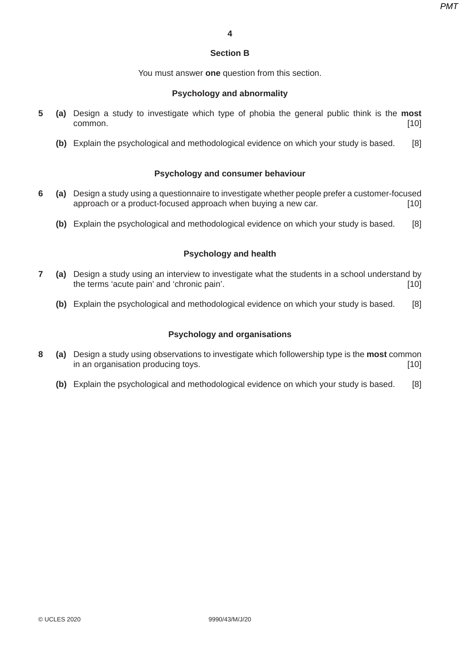### **Section B**

You must answer **one** question from this section.

### **Psychology and abnormality**

- **5 (a)** Design a study to investigate which type of phobia the general public think is the **most**   ${\sf common}.$  [10]
	- **(b)** Explain the psychological and methodological evidence on which your study is based. [8]

### **Psychology and consumer behaviour**

- **6 (a)** Design a study using a questionnaire to investigate whether people prefer a customer-focused approach or a product-focused approach when buying a new car. [10]
	- **(b)** Explain the psychological and methodological evidence on which your study is based. [8]

### **Psychology and health**

- **7 (a)** Design a study using an interview to investigate what the students in a school understand by the terms 'acute pain' and 'chronic pain'. [10]
	- **(b)** Explain the psychological and methodological evidence on which your study is based. [8]

### **Psychology and organisations**

- **8 (a)** Design a study using observations to investigate which followership type is the **most** common in an organisation producing toys. [10]
	- **(b)** Explain the psychological and methodological evidence on which your study is based. [8]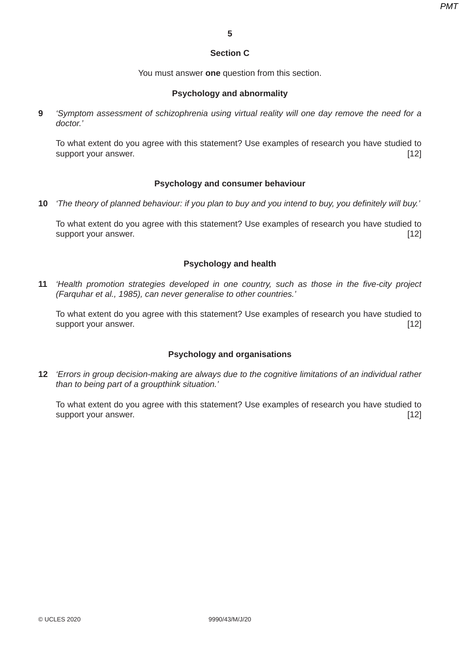### **Section C**

You must answer **one** question from this section.

### **Psychology and abnormality**

**9** *'Symptom assessment of schizophrenia using virtual reality will one day remove the need for a doctor.'*

 To what extent do you agree with this statement? Use examples of research you have studied to support your answer. **[12]** Support your answer.

### **Psychology and consumer behaviour**

**10** *'The theory of planned behaviour: if you plan to buy and you intend to buy, you definitely will buy.'*

 To what extent do you agree with this statement? Use examples of research you have studied to support your answer. [12] support your answer.

#### **Psychology and health**

**11** *'Health promotion strategies developed in one country, such as those in the five-city project (Farquhar et al., 1985), can never generalise to other countries.'*

 To what extent do you agree with this statement? Use examples of research you have studied to support your answer. [12] support your answer.

#### **Psychology and organisations**

**12** *'Errors in group decision-making are always due to the cognitive limitations of an individual rather than to being part of a groupthink situation.'*

 To what extent do you agree with this statement? Use examples of research you have studied to support your answer. [12]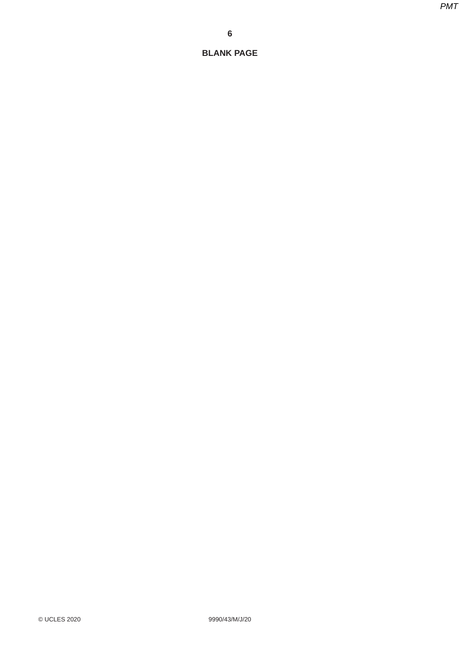## $6\phantom{a}$

#### **BLANK PAGE**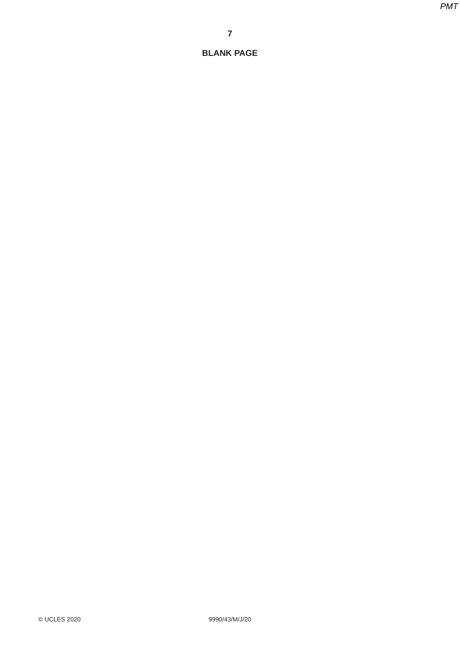#### **BLANK PAGE**